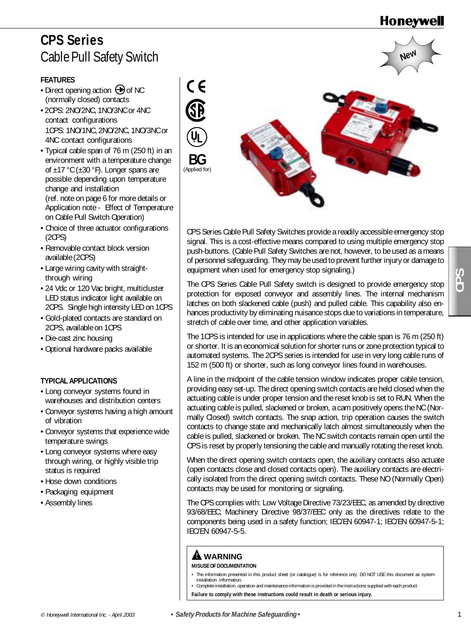**New**

# **CPS Series** Cable Pull Safety Switch

### **FEATURES**

- Direct opening action  $\bigoplus$  of NC (normally closed) contacts
- 2CPS: 2NO/2NC, 1NO/3NC or 4NC contact configurations 1CPS: 1NO/1NC, 2NO/2NC, 1NO/3NC or 4NC contact configurations
- Typical cable span of 76 m (250 ft) in an environment with a temperature change of  $\pm$ 17 °C ( $\pm$ 30 °F). Longer spans are possible depending upon temperature change and installation (ref. note on page 6 for more details or Application note - Effect of Temperature on Cable Pull Switch Operation)
- Choice of three actuator configurations (2CPS)
- Removable contact block version available (2CPS)
- Large wiring cavity with straightthrough wiring
- 24 Vdc or 120 Vac bright, multicluster LED status indicator light available on 2CPS. Single high intensity LED on 1CPS
- Gold-plated contacts are standard on 2CPS, available on 1CPS
- Die-cast zinc housing
- Optional hardware packs available

### **TYPICAL APPLICATIONS**

- Long conveyor systems found in warehouses and distribution centers
- Conveyor systems having a high amount of vibration
- Conveyor systems that experience wide temperature swings
- Long conveyor systems where easy through wiring, or highly visible trip status is required
- Hose down conditions
- Packaging equipment
- Assembly lines



CPS Series Cable Pull Safety Switches provide a readily accessible emergency stop signal. This is a cost-effective means compared to using multiple emergency stop push-buttons. (Cable Pull Safety Switches are not, however, to be used as a means of personnel safeguarding. They may be used to prevent further injury or damage to equipment when used for emergency stop signaling.)

The CPS Series Cable Pull Safety switch is designed to provide emergency stop protection for exposed conveyor and assembly lines. The internal mechanism latches on both slackened cable (push) and pulled cable. This capability also enhances productivity by eliminating nuisance stops due to variations in temperature, stretch of cable over time, and other application variables.

The 1CPS is intended for use in applications where the cable span is 76 m (250 ft) or shorter. It is an economical solution for shorter runs or zone protection typical to automated systems. The 2CPS series is intended for use in very long cable runs of 152 m (500 ft) or shorter, such as long conveyor lines found in warehouses.

For the theoretics of the theoretics for the special inc. The CPS series to the based convey in the special increases in the theoretics of the special of the special increases in the theoretical Interval increases and the A line in the midpoint of the cable tension window indicates proper cable tension, providing easy set-up. The direct opening switch contacts are held closed when the actuating cable is under proper tension and the reset knob is set to RUN. When the actuating cable is pulled, slackened or broken, a cam positively opens the NC (Normally Closed) switch contacts. The snap action, trip operation causes the switch contacts to change state and mechanically latch almost simultaneously when the cable is pulled, slackened or broken. The NC switch contacts remain open until the CPS is reset by properly tensioning the cable and manually rotating the reset knob.

When the direct opening switch contacts open, the auxiliary contacts also actuate (open contacts close and closed contacts open). The auxiliary contacts are electrically isolated from the direct opening switch contacts. These NO (Normally Open) contacts may be used for monitoring or signaling.

The CPS complies with: Low Voltage Directive 73/23/EEC, as amended by directive 93/68/EEC; Machinery Directive 98/37/EEC only as the directives relate to the components being used in a safety function; IEC/EN 60947-1; IEC/EN 60947-5-1; IEC/EN 60947-5-5.

## **! WARNING**

**MISUSE OF DOCUMENTATION**

- The information presented in this product sheet (or catalogue) is for reference only. DO NOT USE this document as system installation information.
	- Complete installation, operation and maintenance information is provided in the instructions supplied with each product.

**Failure to comply with these instructions could result in death or serious injury.**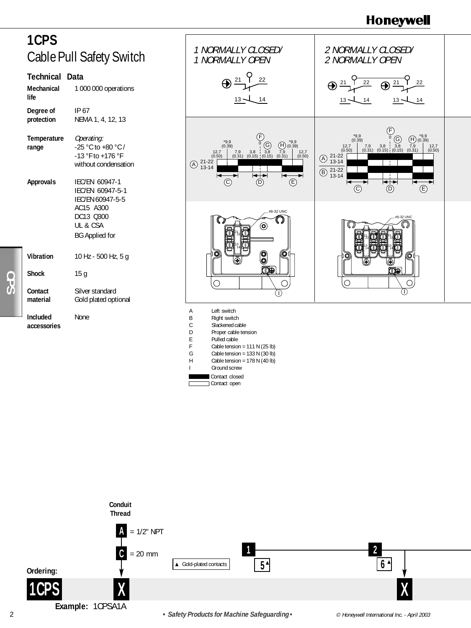



Contact open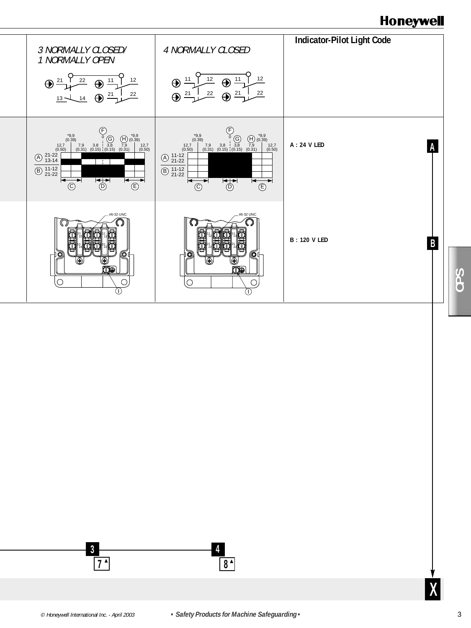



**X**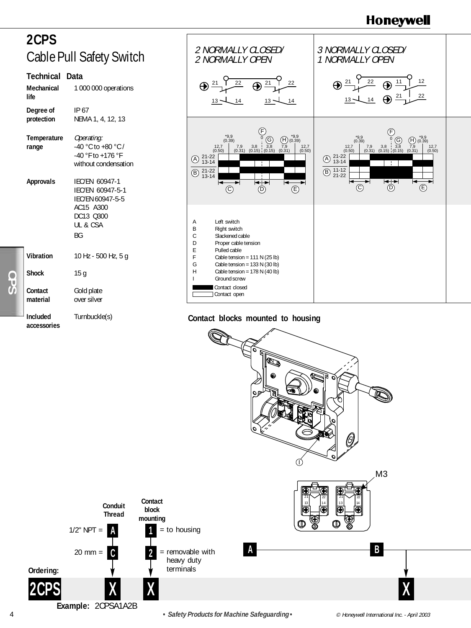# **2CPS** Cable Pull Safety Switch

### **Technical Data**

| Mechanical<br>life             | 1 000 000 operations                                                                               |
|--------------------------------|----------------------------------------------------------------------------------------------------|
| Degree of<br>protection        | IP 67<br>NEMA 1, 4, 12, 13                                                                         |
| Temperature<br>range           | Operating:<br>-40 °C to +80 °C /<br>$-40$ °F to $+176$ °F<br>without condensation                  |
| <b>Approvals</b>               | IEC/EN 60947-1<br>IFC/FN 60947-5-1<br>IEC/EN 60947-5-5<br>AC15 A300<br>DC13 0300<br>UL & CSA<br>ВG |
| Vibration                      | 10 Hz - 500 Hz, 5 g                                                                                |
| <b>Shock</b>                   | 15 g                                                                                               |
| Contact<br>material            | Gold plate<br>over silver                                                                          |
| <b>Included</b><br>accessories | Turnbuckle(s)                                                                                      |



### **Contact blocks mounted to housing**

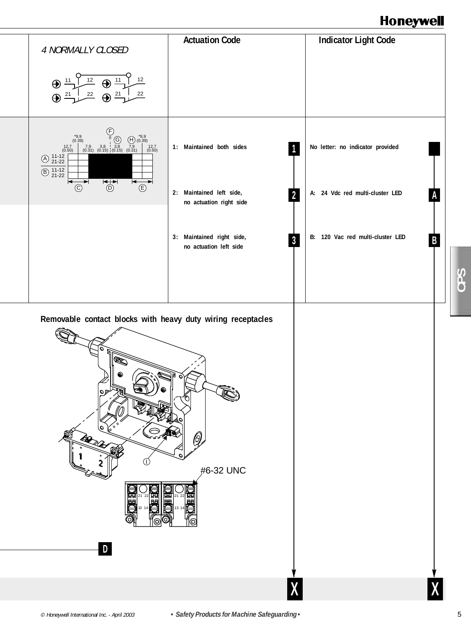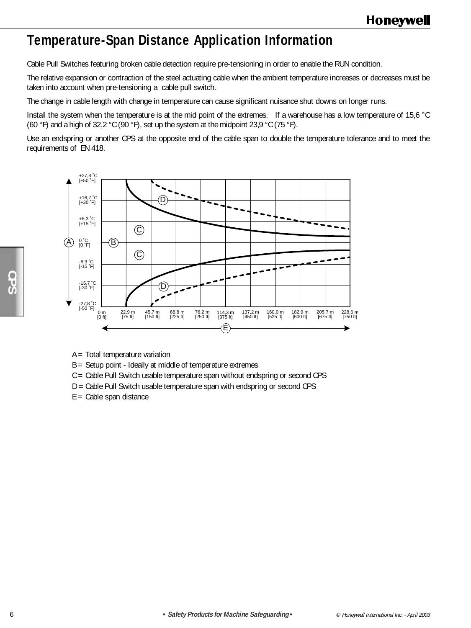# **Temperature-Span Distance Application Information**

Cable Pull Switches featuring broken cable detection require pre-tensioning in order to enable the RUN condition.

The relative expansion or contraction of the steel actuating cable when the ambient temperature increases or decreases must be taken into account when pre-tensioning a cable pull switch.

The change in cable length with change in temperature can cause significant nuisance shut downs on longer runs.

Install the system when the temperature is at the mid point of the extremes. If a warehouse has a low temperature of 15,6 °C (60 °F) and a high of 32,2 °C (90 °F), set up the system at the midpoint 23,9 °C (75 °F).

Use an endspring or another CPS at the opposite end of the cable span to double the temperature tolerance and to meet the requirements of EN 418.



- A = Total temperature variation
- B = Setup point Ideally at middle of temperature extremes
- C = Cable Pull Switch usable temperature span without endspring or second CPS
- D = Cable Pull Switch usable temperature span with endspring or second CPS
- $E =$  Cable span distance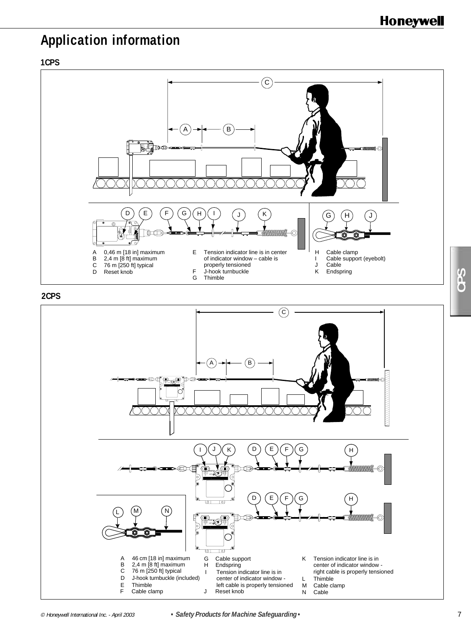# **Application information**

### **1CPS**



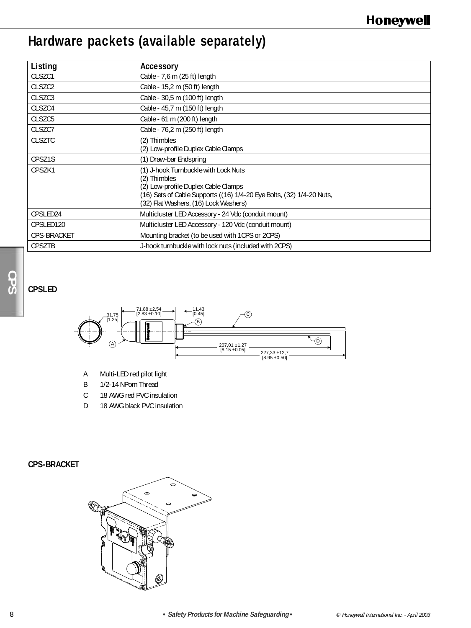# **Hardware packets (available separately)**

| Listing             | Accessory                                                                                                                                                                                                     |
|---------------------|---------------------------------------------------------------------------------------------------------------------------------------------------------------------------------------------------------------|
| CLSZC1              | Cable - 7,6 m (25 ft) length                                                                                                                                                                                  |
| CLSZC <sub>2</sub>  | Cable - 15,2 m (50 ft) length                                                                                                                                                                                 |
| CLSZC3              | Cable - 30,5 m (100 ft) length                                                                                                                                                                                |
| CLSZC4              | Cable - 45,7 m (150 ft) length                                                                                                                                                                                |
| CLSZC <sub>5</sub>  | Cable - 61 m (200 ft) length                                                                                                                                                                                  |
| CLSZC7              | Cable - 76,2 m (250 ft) length                                                                                                                                                                                |
| <b>CLSZTC</b>       | (2) Thimbles<br>(2) Low-profile Duplex Cable Clamps                                                                                                                                                           |
| CPSZ <sub>1</sub> S | (1) Draw-bar Endspring                                                                                                                                                                                        |
| CPSZK1              | (1) J-hook Turnbuckle with Lock Nuts<br>(2) Thimbles<br>(2) Low-profile Duplex Cable Clamps<br>(16) Sets of Cable Supports ((16) 1/4-20 Eye Bolts, (32) 1/4-20 Nuts,<br>(32) Flat Washers, (16) Lock Washers) |
| CPSLED24            | Multicluster LED Accessory - 24 Vdc (conduit mount)                                                                                                                                                           |
| CPSLED120           | Multicluster LED Accessory - 120 Vdc (conduit mount)                                                                                                                                                          |
| CPS-BRACKET         | Mounting bracket (to be used with 1CPS or 2CPS)                                                                                                                                                               |
| <b>CPSZTB</b>       | J-hook turnbuckle with lock nuts (included with 2CPS)                                                                                                                                                         |

## **CPSLED**



- A Multi-LED red pilot light
- B 1/2-14 NPom Thread
- C 18 AWG red PVC insulation
- D 18 AWG black PVC insulation

## **CPS-BRACKET**

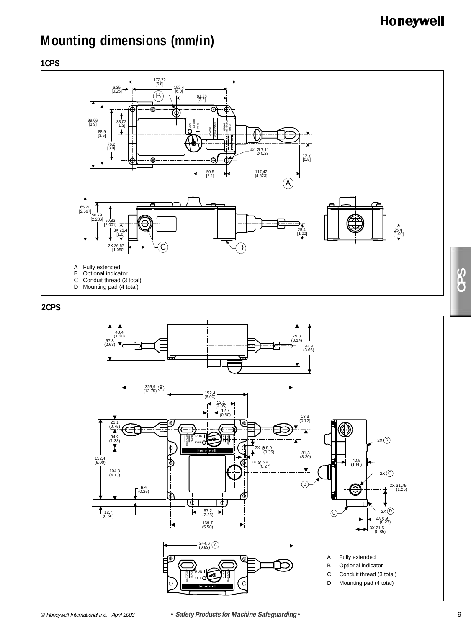# **Mounting dimensions (mm/in)**